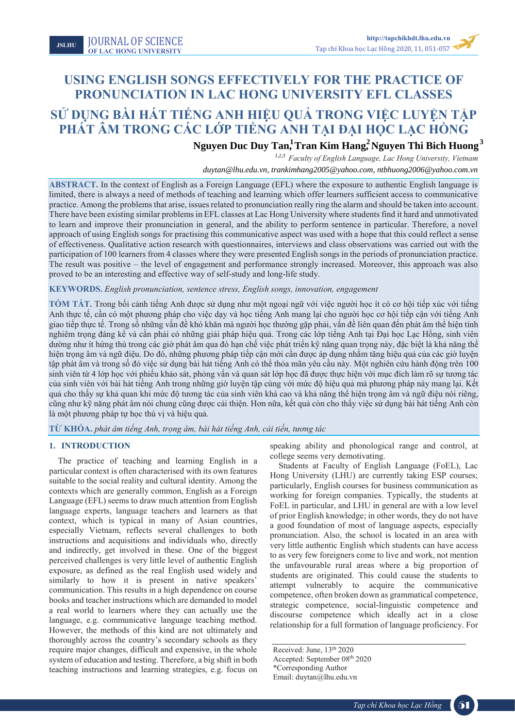Tạp chí Khoa học Lạc Hồng **20xx**, x, xx-zz

# **USING ENGLISH SONGS EFFECTIVELY FOR THE PRACTICE OF PRONUNCIATION IN LAC HONG UNIVERSITY EFL CLASSES SỬ DỤNG BÀI HÁT TIẾNG ANH HIỆU QUẢ TRONG VIỆC LUYỆN TẬP PHÁT ÂM TRONG CÁC LỚP TIẾNG ANH TẠI ĐẠI HỌC LẠC HỒNG**

**Nguyen Duc Duy Tan, Tran Kim Hang, Nguyen Thi Bich Huong**<sup>3</sup><br> *duytan@lhu.edu.vn, trankimhang2005@yahoo.com, ntbhuong2006@yahoo.com.vn*<br> *duytan@lhu.edu.vn, trankimhang2005@yahoo.com, ntbhuong2006@yahoo.com.vn Faculty of English Language, Lac Hong University, Vietnam duytan@lhu.edu.vn*

**ABSTRACT.** In the context of English as a Foreign Language (EFL) where the exposure to authentic English language is limited, there is always a need of methods of teaching and learning which offer learners sufficient access to communicative practice. Among the problems that arise, issues related to pronunciation really ring the alarm and should be taken into account. There have been existing similar problems in EFL classes at Lac Hong University where students find it hard and unmotivated to learn and improve their pronunciation in general, and the ability to perform sentence in particular. Therefore, a novel approach of using English songs for practising this communicative aspect was used with a hope that this could reflect a sense of effectiveness. Qualitative action research with questionnaires, interviews and class observations was carried out with the participation of 100 learners from 4 classes where they were presented English songs in the periods of pronunciation practice. The result was positive – the level of engagement and performance strongly increased. Moreover, this approach was also proved to be an interesting and effective way of self-study and long-life study.

# **KEYWORDS.** *English pronunciation, sentence stress, English songs, innovation, engagement*

**TÓM TẮT.** Trong bối cảnh tiếng Anh được sử dụng như một ngoại ngữ với việc người học ít có cơ hội tiếp xúc với tiếng Anh thực tế, cần có một phương pháp cho việc dạy và học tiếng Anh mang lại cho người học cơ hội tiếp cận với tiếng Anh giao tiếp thực tế. Trong số những vấn đề khó khăn mà người học thường gặp phải, vấn đề liên quan đến phát âm thể hiện tính nghiêm trọng đáng kể và cần phải có những giải pháp hiệu quả. Trong các lớp tiếng Anh tại Đại học Lạc Hồng, sinh viên dường như ít hứng thú trong các giờ phát âm qua đó hạn chế việc phát triển kỹ năng quan trọng này, đặc biệt là khả năng thể hiện trọng âm và ngữ điệu. Do đó, những phương pháp tiếp cận mới cần được áp dụng nhằm tăng hiệu quả của các giờ luyện tập phát âm và trong số đó việc sử dụng bài hát tiếng Anh có thể thỏa mãn yêu cầu này. Một nghiên cứu hành động trên 100 sinh viên từ 4 lớp học với phiếu khảo sát, phỏng vấn và quan sát lớp học đã được thực hiện với mục đích làm rõ sự tương tác của sinh viên với bài hát tiếng Anh trong những giờ luyện tập cùng với mức độ hiệu quả mà phương pháp này mang lại. Kết quả cho thấy sự khả quan khi mức độ tương tác của sinh viên khá cao và khả năng thể hiện trọng âm và ngữ điệu nói riêng, cũng như kỹ năng phát âm nói chung cũng được cải thiện. Hơn nữa, kết quả còn cho thấy việc sử dụng bài hát tiếng Anh còn là một phương pháp tự học thú vị và hiệu quả.

**TỪ KHÓA.** *phát âm tiếng Anh, trọng âm, bài hát tiếng Anh, cải tiến, tương tác*

### **1. INTRODUCTION**

The practice of teaching and learning English in a particular context is often characterised with its own features suitable to the social reality and cultural identity. Among the contexts which are generally common, English as a Foreign Language (EFL) seems to draw much attention from English language experts, language teachers and learners as that context, which is typical in many of Asian countries, especially Vietnam, reflects several challenges to both instructions and acquisitions and individuals who, directly and indirectly, get involved in these. One of the biggest perceived challenges is very little level of authentic English exposure, as defined as the real English used widely and similarly to how it is present in native speakers' communication. This results in a high dependence on course books and teacher instructions which are demanded to model a real world to learners where they can actually use the language, e.g. communicative language teaching method. However, the methods of this kind are not ultimately and thoroughly across the country's secondary schools as they require major changes, difficult and expensive, in the whole system of education and testing. Therefore, a big shift in both teaching instructions and learning strategies, e.g. focus on speaking ability and phonological range and control, at college seems very demotivating.

Students at Faculty of English Language (FoEL), Lac Hong University (LHU) are currently taking ESP courses; particularly, English courses for business communication as working for foreign companies. Typically, the students at FoEL in particular, and LHU in general are with a low level of prior English knowledge; in other words, they do not have a good foundation of most of language aspects, especially pronunciation. Also, the school is located in an area with very little authentic English which students can have access to as very few foreigners come to live and work, not mention the unfavourable rural areas where a big proportion of students are originated. This could cause the students to attempt vulnerably to acquire the communicative competence, often broken down as grammatical competence, strategic competence, social-linguistic competence and discourse competence which ideally act in a close relationship for a full formation of language proficiency. For

Received: June, 13<sup>th</sup> 2020 Accepted: September 08th 2020 \*Corresponding Author Email: duytan@lhu.edu.vn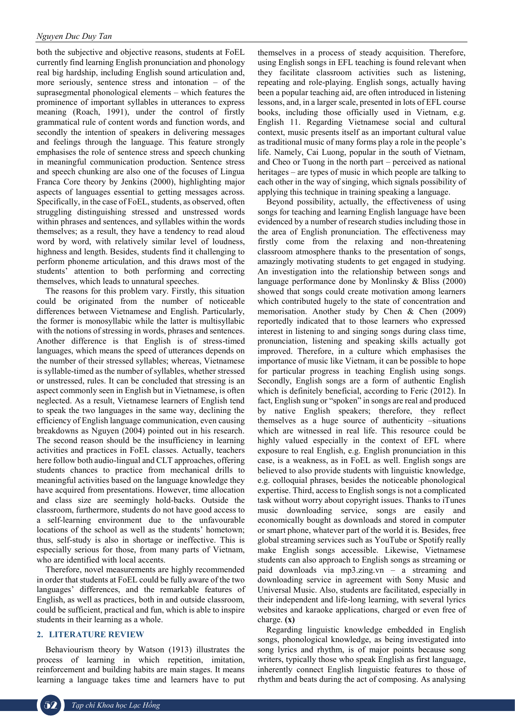both the subjective and objective reasons, students at FoEL currently find learning English pronunciation and phonology real big hardship, including English sound articulation and, more seriously, sentence stress and intonation – of the suprasegmental phonological elements – which features the prominence of important syllables in utterances to express meaning (Roach, 1991), under the control of firstly grammatical rule of content words and function words, and secondly the intention of speakers in delivering messages and feelings through the language. This feature strongly emphasises the role of sentence stress and speech chunking in meaningful communication production. Sentence stress and speech chunking are also one of the focuses of Lingua Franca Core theory by Jenkins (2000), highlighting major aspects of languages essential to getting messages across. Specifically, in the case of FoEL, students, as observed, often struggling distinguishing stressed and unstressed words within phrases and sentences, and syllables within the words themselves; as a result, they have a tendency to read aloud word by word, with relatively similar level of loudness, highness and length. Besides, students find it challenging to perform phoneme articulation, and this draws most of the students' attention to both performing and correcting themselves, which leads to unnatural speeches.

The reasons for this problem vary. Firstly, this situation could be originated from the number of noticeable differences between Vietnamese and English. Particularly, the former is monosyllabic while the latter is multisyllabic with the notions of stressing in words, phrases and sentences. Another difference is that English is of stress-timed languages, which means the speed of utterances depends on the number of their stressed syllables; whereas, Vietnamese is syllable-timed as the number of syllables, whether stressed or unstressed, rules. It can be concluded that stressing is an aspect commonly seen in English but in Vietnamese, is often neglected. As a result, Vietnamese learners of English tend to speak the two languages in the same way, declining the efficiency of English language communication, even causing breakdowns as Nguyen (2004) pointed out in his research. The second reason should be the insufficiency in learning activities and practices in FoEL classes. Actually, teachers here follow both audio-lingual and CLT approaches, offering students chances to practice from mechanical drills to meaningful activities based on the language knowledge they have acquired from presentations. However, time allocation and class size are seemingly hold-backs. Outside the classroom, furthermore, students do not have good access to a self-learning environment due to the unfavourable locations of the school as well as the students' hometown; thus, self-study is also in shortage or ineffective. This is especially serious for those, from many parts of Vietnam, who are identified with local accents.

Therefore, novel measurements are highly recommended in order that students at FoEL could be fully aware of the two languages' differences, and the remarkable features of English, as well as practices, both in and outside classroom, could be sufficient, practical and fun, which is able to inspire students in their learning as a whole.

## **2. LITERATURE REVIEW**

Behaviourism theory by Watson (1913) illustrates the process of learning in which repetition, imitation, reinforcement and building habits are main stages. It means learning a language takes time and learners have to put themselves in a process of steady acquisition. Therefore, using English songs in EFL teaching is found relevant when they facilitate classroom activities such as listening, repeating and role-playing. English songs, actually having been a popular teaching aid, are often introduced in listening lessons, and, in a larger scale, presented in lots of EFL course books, including those officially used in Vietnam, e.g. English 11. Regarding Vietnamese social and cultural context, music presents itself as an important cultural value as traditional music of many forms play a role in the people's life. Namely, Cai Luong, popular in the south of Vietnam, and Cheo or Tuong in the north part – perceived as national heritages – are types of music in which people are talking to each other in the way of singing, which signals possibility of applying this technique in training speaking a language.

Beyond possibility, actually, the effectiveness of using songs for teaching and learning English language have been evidenced by a number of research studies including those in the area of English pronunciation. The effectiveness may firstly come from the relaxing and non-threatening classroom atmosphere thanks to the presentation of songs, amazingly motivating students to get engaged in studying. An investigation into the relationship between songs and language performance done by Monlinsky & Bliss (2000) showed that songs could create motivation among learners which contributed hugely to the state of concentration and memorisation. Another study by Chen & Chen (2009) reportedly indicated that to those learners who expressed interest in listening to and singing songs during class time, pronunciation, listening and speaking skills actually got improved. Therefore, in a culture which emphasises the importance of music like Vietnam, it can be possible to hope for particular progress in teaching English using songs. Secondly, English songs are a form of authentic English which is definitely beneficial, according to Feric (2012). In fact, English sung or "spoken" in songs are real and produced by native English speakers; therefore, they reflect themselves as a huge source of authenticity –situations which are witnessed in real life. This resource could be highly valued especially in the context of EFL where exposure to real English, e.g. English pronunciation in this case, is a weakness, as in FoEL as well. English songs are believed to also provide students with linguistic knowledge, e.g. colloquial phrases, besides the noticeable phonological expertise. Third, access to English songs is not a complicated task without worry about copyright issues. Thanks to iTunes music downloading service, songs are easily and economically bought as downloads and stored in computer or smart phone, whatever part of the world it is. Besides, free global streaming services such as YouTube or Spotify really make English songs accessible. Likewise, Vietnamese students can also approach to English songs as streaming or paid downloads via mp3.zing.vn – a streaming and downloading service in agreement with Sony Music and Universal Music. Also, students are facilitated, especially in their independent and life-long learning, with several lyrics websites and karaoke applications, charged or even free of charge. **(x)**

Regarding linguistic knowledge embedded in English songs, phonological knowledge, as being investigated into song lyrics and rhythm, is of major points because song writers, typically those who speak English as first language, inherently connect English linguistic features to those of rhythm and beats during the act of composing. As analysing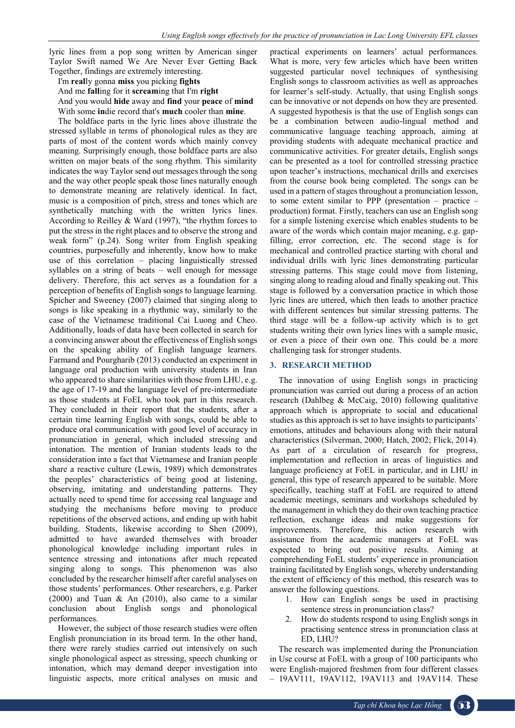lyric lines from a pop song written by American singer Taylor Swift named We Are Never Ever Getting Back Together, findings are extremely interesting.

I'm **real**ly gonna **miss** you picking **fights** And me **fall**ing for it **scream**ing that I'm **right** And you would **hide** away and **find** your **peace** of **mind** With some **in**die record that's **much** cooler than **mine**.

The boldface parts in the lyric lines above illustrate the stressed syllable in terms of phonological rules as they are parts of most of the content words which mainly convey meaning. Surprisingly enough, those boldface parts are also written on major beats of the song rhythm. This similarity indicates the way Taylor send out messages through the song and the way other people speak those lines naturally enough to demonstrate meaning are relatively identical. In fact, music is a composition of pitch, stress and tones which are synthetically matching with the written lyrics lines. According to Reilley & Ward (1997), "the rhythm forces to put the stress in the right places and to observe the strong and weak form" (p.24). Song writer from English speaking countries, purposefully and inherently, know how to make use of this correlation – placing linguistically stressed syllables on a string of beats – well enough for message delivery. Therefore, this act serves as a foundation for a perception of benefits of English songs to language learning. Spicher and Sweeney (2007) claimed that singing along to songs is like speaking in a rhythmic way, similarly to the case of the Vietnamese traditional Cai Luong and Cheo. Additionally, loads of data have been collected in search for a convincing answer about the effectiveness of English songs on the speaking ability of English language learners. Farmand and Pourgharib (2013) conducted an experiment in language oral production with university students in Iran who appeared to share similarities with those from LHU, e.g. the age of 17-19 and the language level of pre-intermediate as those students at FoEL who took part in this research. They concluded in their report that the students, after a certain time learning English with songs, could be able to produce oral communication with good level of accuracy in pronunciation in general, which included stressing and intonation. The mention of Iranian students leads to the consideration into a fact that Vietnamese and Iranian people share a reactive culture (Lewis, 1989) which demonstrates the peoples' characteristics of being good at listening, observing, imitating and understanding patterns. They actually need to spend time for accessing real language and studying the mechanisms before moving to produce repetitions of the observed actions, and ending up with habit building. Students, likewise according to Shen (2009), admitted to have awarded themselves with broader phonological knowledge including important rules in sentence stressing and intonations after much repeated singing along to songs. This phenomenon was also concluded by the researcher himself after careful analyses on those students' performances. Other researchers, e.g. Parker (2000) and Tuan & An (2010), also came to a similar conclusion about English songs and phonological performances.

However, the subject of those research studies were often English pronunciation in its broad term. In the other hand, there were rarely studies carried out intensively on such single phonological aspect as stressing, speech chunking or intonation, which may demand deeper investigation into linguistic aspects, more critical analyses on music and practical experiments on learners' actual performances. What is more, very few articles which have been written suggested particular novel techniques of synthesising English songs to classroom activities as well as approaches for learner's self-study. Actually, that using English songs can be innovative or not depends on how they are presented. A suggested hypothesis is that the use of English songs can be a combination between audio-lingual method and communicative language teaching approach, aiming at providing students with adequate mechanical practice and communicative activities. For greater details, English songs can be presented as a tool for controlled stressing practice upon teacher's instructions, mechanical drills and exercises from the course book being completed. The songs can be used in a pattern of stages throughout a pronunciation lesson, to some extent similar to PPP (presentation – practice – production) format. Firstly, teachers can use an English song for a simple listening exercise which enables students to be aware of the words which contain major meaning, e.g. gapfilling, error correction, etc. The second stage is for mechanical and controlled practice starting with choral and individual drills with lyric lines demonstrating particular stressing patterns. This stage could move from listening, singing along to reading aloud and finally speaking out. This stage is followed by a conversation practice in which those lyric lines are uttered, which then leads to another practice with different sentences but similar stressing patterns. The third stage will be a follow-up activity which is to get students writing their own lyrics lines with a sample music, or even a piece of their own one. This could be a more challenging task for stronger students.

# **3. RESEARCH METHOD**

The innovation of using English songs in practicing pronunciation was carried out during a process of an action research (Dahlbeg & McCaig, 2010) following qualitative approach which is appropriate to social and educational studies as this approach is set to have insights to participants' emotions, attitudes and behaviours along with their natural characteristics (Silverman, 2000; Hatch, 2002; Flick, 2014). As part of a circulation of research for progress, implementation and reflection in areas of linguistics and language proficiency at FoEL in particular, and in LHU in general, this type of research appeared to be suitable. More specifically, teaching staff at FoEL are required to attend academic meetings, seminars and workshops scheduled by the management in which they do their own teaching practice reflection, exchange ideas and make suggestions for improvements. Therefore, this action research with assistance from the academic managers at FoEL was expected to bring out positive results. Aiming at comprehending FoEL students' experience in pronunciation training facilitated by English songs, whereby understanding the extent of efficiency of this method, this research was to answer the following questions.

- 1. How can English songs be used in practising sentence stress in pronunciation class?
- 2. How do students respond to using English songs in practising sentence stress in pronunciation class at ED, LHU?

The research was implemented during the Pronunciation in Use course at FoEL with a group of 100 participants who were English-majored freshmen from four different classes – 19AV111, 19AV112, 19AV113 and 19AV114. These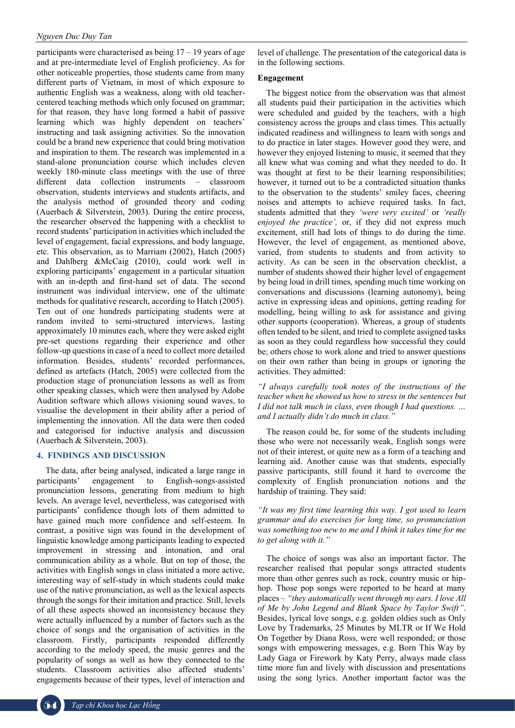participants were characterised as being  $17 - 19$  years of age and at pre-intermediate level of English proficiency. As for other noticeable properties, those students came from many different parts of Vietnam, in most of which exposure to authentic English was a weakness, along with old teachercentered teaching methods which only focused on grammar; for that reason, they have long formed a habit of passive learning which was highly dependent on teachers' instructing and task assigning activities. So the innovation could be a brand new experience that could bring motivation and inspiration to them. The research was implemented in a stand-alone pronunciation course which includes eleven weekly 180-minute class meetings with the use of three different data collection instruments – classroom observation, students interviews and students artifacts, and the analysis method of grounded theory and coding (Auerbach & Silverstein, 2003). During the entire process, the researcher observed the happening with a checklist to record students' participation in activities which included the level of engagement, facial expressions, and body language, etc. This observation, as to Marriam (2002), Hatch (2005) and Dahlberg &McCaig (2010), could work well in exploring participants' engagement in a particular situation with an in-depth and first-hand set of data. The second instrument was individual interview, one of the ultimate methods for qualitative research, according to Hatch (2005). Ten out of one hundreds participating students were at random invited to semi-structured interviews, lasting approximately 10 minutes each, where they were asked eight pre-set questions regarding their experience and other follow-up questions in case of a need to collect more detailed information. Besides, students' recorded performances, defined as artefacts (Hatch, 2005) were collected from the production stage of pronunciation lessons as well as from other speaking classes, which were then analysed by Adobe Audition software which allows visioning sound waves, to visualise the development in their ability after a period of implementing the innovation. All the data were then coded and categorised for inductive analysis and discussion (Auerbach & Silverstein, 2003).

# **4. FINDINGS AND DISCUSSION**

The data, after being analysed, indicated a large range in participants' engagement to English-songs-assisted pronunciation lessons, generating from medium to high levels. An average level, nevertheless, was categorised with participants' confidence though lots of them admitted to have gained much more confidence and self-esteem. In contrast, a positive sign was found in the development of linguistic knowledge among participants leading to expected improvement in stressing and intonation, and oral communication ability as a whole. But on top of those, the activities with English songs in class initiated a more active, interesting way of self-study in which students could make use of the native pronunciation, as well as the lexical aspects through the songs for their imitation and practice. Still, levels of all these aspects showed an inconsistency because they were actually influenced by a number of factors such as the choice of songs and the organisation of activities in the classroom. Firstly, participants responded differently according to the melody speed, the music genres and the popularity of songs as well as how they connected to the students. Classroom activities also affected students' engagements because of their types, level of interaction and

level of challenge. The presentation of the categorical data is in the following sections.

### **Engagement**

The biggest notice from the observation was that almost all students paid their participation in the activities which were scheduled and guided by the teachers, with a high consistency across the groups and class times. This actually indicated readiness and willingness to learn with songs and to do practice in later stages. However good they were, and however they enjoyed listening to music, it seemed that they all knew what was coming and what they needed to do. It was thought at first to be their learning responsibilities; however, it turned out to be a contradicted situation thanks to the observation to the students' smiley faces, cheering noises and attempts to achieve required tasks. In fact, students admitted that they *'were very excited'* or *'really enjoyed the practice',* or, if they did not express much excitement, still had lots of things to do during the time. However, the level of engagement, as mentioned above, varied, from students to students and from activity to activity. As can be seen in the observation checklist, a number of students showed their higher level of engagement by being loud in drill times, spending much time working on conversations and discussions (learning autonomy), being active in expressing ideas and opinions, getting reading for modelling, being willing to ask for assistance and giving other supports (cooperation). Whereas, a group of students often tended to be silent, and tried to complete assigned tasks as soon as they could regardless how successful they could be; others chose to work alone and tried to answer questions on their own rather than being in groups or ignoring the activities. They admitted:

*"I always carefully took notes of the instructions of the teacher when he showed us how to stress in the sentences but I did not talk much in class, even though I had questions. … and I actually didn't do much in class."*

The reason could be, for some of the students including those who were not necessarily weak, English songs were not of their interest, or quite new as a form of a teaching and learning aid. Another cause was that students, especially passive participants, still found it hard to overcome the complexity of English pronunciation notions and the hardship of training. They said:

# *"It was my first time learning this way. I got used to learn grammar and do exercises for long time, so pronunciation was something too new to me and I think it takes time for me to get along with it."*

The choice of songs was also an important factor. The researcher realised that popular songs attracted students more than other genres such as rock, country music or hiphop. Those pop songs were reported to be heard at many places – *"they automatically went through my ears. I love All of Me by John Legend and Blank Space by Taylor Swift"*. Besides, lyrical love songs, e.g. golden oldies such as Only Love by Trademarks, 25 Minutes by MLTR or If We Hold On Together by Diana Ross, were well responded; or those songs with empowering messages, e.g. Born This Way by Lady Gaga or Firework by Katy Perry, always made class time more fun and lively with discussion and presentations using the song lyrics. Another important factor was the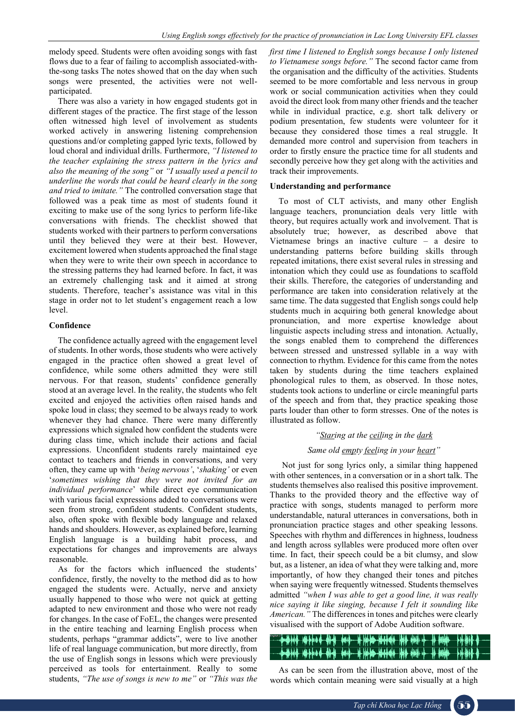melody speed. Students were often avoiding songs with fast flows due to a fear of failing to accomplish associated-withthe-song tasks The notes showed that on the day when such songs were presented, the activities were not wellparticipated.

There was also a variety in how engaged students got in different stages of the practice. The first stage of the lesson often witnessed high level of involvement as students worked actively in answering listening comprehension questions and/or completing gapped lyric texts, followed by loud choral and individual drills. Furthermore, *"I listened to the teacher explaining the stress pattern in the lyrics and also the meaning of the song"* or *"I usually used a pencil to underline the words that could be heard clearly in the song and tried to imitate."* The controlled conversation stage that followed was a peak time as most of students found it exciting to make use of the song lyrics to perform life-like conversations with friends. The checklist showed that students worked with their partners to perform conversations until they believed they were at their best. However, excitement lowered when students approached the final stage when they were to write their own speech in accordance to the stressing patterns they had learned before. In fact, it was an extremely challenging task and it aimed at strong students. Therefore, teacher's assistance was vital in this stage in order not to let student's engagement reach a low level.

# **Confidence**

The confidence actually agreed with the engagement level of students. In other words, those students who were actively engaged in the practice often showed a great level of confidence, while some others admitted they were still nervous. For that reason, students' confidence generally stood at an average level. In the reality, the students who felt excited and enjoyed the activities often raised hands and spoke loud in class; they seemed to be always ready to work whenever they had chance. There were many differently expressions which signaled how confident the students were during class time, which include their actions and facial expressions. Unconfident students rarely maintained eye contact to teachers and friends in conversations, and very often, they came up with '*being nervous'*, '*shaking'* or even '*sometimes wishing that they were not invited for an individual performance*' while direct eye communication with various facial expressions added to conversations were seen from strong, confident students. Confident students, also, often spoke with flexible body language and relaxed hands and shoulders. However, as explained before, learning English language is a building habit process, and expectations for changes and improvements are always reasonable.

As for the factors which influenced the students' confidence, firstly, the novelty to the method did as to how engaged the students were. Actually, nerve and anxiety usually happened to those who were not quick at getting adapted to new environment and those who were not ready for changes. In the case of FoEL, the changes were presented in the entire teaching and learning English process when students, perhaps "grammar addicts", were to live another life of real language communication, but more directly, from the use of English songs in lessons which were previously perceived as tools for entertainment. Really to some students, *"The use of songs is new to me"* or *"This was the* 

*first time I listened to English songs because I only listened to Vietnamese songs before."* The second factor came from the organisation and the difficulty of the activities. Students seemed to be more comfortable and less nervous in group work or social communication activities when they could avoid the direct look from many other friends and the teacher while in individual practice, e.g. short talk delivery or podium presentation, few students were volunteer for it because they considered those times a real struggle. It demanded more control and supervision from teachers in order to firstly ensure the practice time for all students and secondly perceive how they get along with the activities and track their improvements.

### **Understanding and performance**

To most of CLT activists, and many other English language teachers, pronunciation deals very little with theory, but requires actually work and involvement. That is absolutely true; however, as described above that Vietnamese brings an inactive culture – a desire to understanding patterns before building skills through repeated imitations, there exist several rules in stressing and intonation which they could use as foundations to scaffold their skills. Therefore, the categories of understanding and performance are taken into consideration relatively at the same time. The data suggested that English songs could help students much in acquiring both general knowledge about pronunciation, and more expertise knowledge about linguistic aspects including stress and intonation. Actually, the songs enabled them to comprehend the differences between stressed and unstressed syllable in a way with connection to rhythm. Evidence for this came from the notes taken by students during the time teachers explained phonological rules to them, as observed. In those notes, students took actions to underline or circle meaningful parts of the speech and from that, they practice speaking those parts louder than other to form stresses. One of the notes is illustrated as follow.

#### *"Staring at the ceiling in the dark*

#### *Same old empty feeling in your heart"*

Not just for song lyrics only, a similar thing happened with other sentences, in a conversation or in a short talk. The students themselves also realised this positive improvement. Thanks to the provided theory and the effective way of practice with songs, students managed to perform more understandable, natural utterances in conversations, both in pronunciation practice stages and other speaking lessons. Speeches with rhythm and differences in highness, loudness and length across syllables were produced more often over time. In fact, their speech could be a bit clumsy, and slow but, as a listener, an idea of what they were talking and, more importantly, of how they changed their tones and pitches when saying were frequently witnessed. Students themselves admitted *"when I was able to get a good line, it was really nice saying it like singing, because I felt it sounding like American."* The differences in tones and pitches were clearly visualised with the support of Adobe Audition software.



As can be seen from the illustration above, most of the words which contain meaning were said visually at a high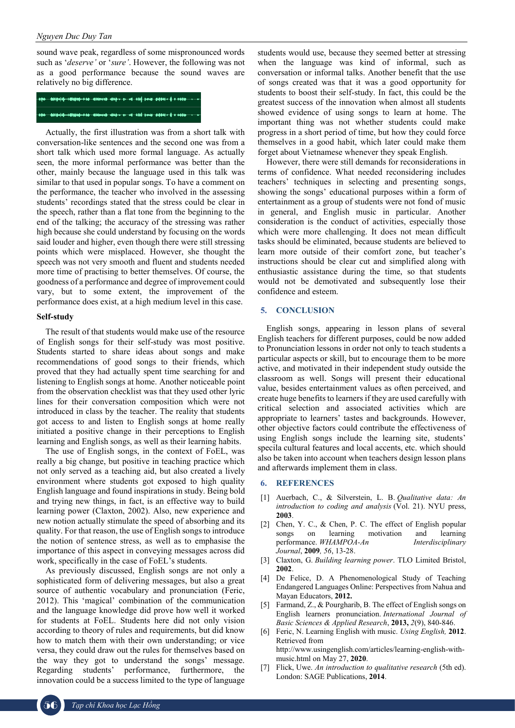sound wave peak, regardless of some mispronounced words such as '*deserve'* or '*sure'*. However, the following was not as a good performance because the sound waves are relatively no big difference.

| abo altaile idialai-ra amois aco- i at thi jou setti i chin - i |  |
|-----------------------------------------------------------------|--|

Actually, the first illustration was from a short talk with conversation-like sentences and the second one was from a short talk which used more formal language. As actually seen, the more informal performance was better than the other, mainly because the language used in this talk was similar to that used in popular songs. To have a comment on the performance, the teacher who involved in the assessing students' recordings stated that the stress could be clear in the speech, rather than a flat tone from the beginning to the end of the talking; the accuracy of the stressing was rather high because she could understand by focusing on the words said louder and higher, even though there were still stressing points which were misplaced. However, she thought the speech was not very smooth and fluent and students needed more time of practising to better themselves. Of course, the goodness of a performance and degree of improvement could vary, but to some extent, the improvement of the performance does exist, at a high medium level in this case.

#### **Self-study**

The result of that students would make use of the resource of English songs for their self-study was most positive. Students started to share ideas about songs and make recommendations of good songs to their friends, which proved that they had actually spent time searching for and listening to English songs at home. Another noticeable point from the observation checklist was that they used other lyric lines for their conversation composition which were not introduced in class by the teacher. The reality that students got access to and listen to English songs at home really initiated a positive change in their perceptions to English learning and English songs, as well as their learning habits.

The use of English songs, in the context of FoEL, was really a big change, but positive in teaching practice which not only served as a teaching aid, but also created a lively environment where students got exposed to high quality English language and found inspirations in study. Being bold and trying new things, in fact, is an effective way to build learning power (Claxton, 2002). Also, new experience and new notion actually stimulate the speed of absorbing and its quality. For that reason, the use of English songs to introduce the notion of sentence stress, as well as to emphasise the importance of this aspect in conveying messages across did work, specifically in the case of FoEL's students.

As previously discussed, English songs are not only a sophisticated form of delivering messages, but also a great source of authentic vocabulary and pronunciation (Feric, 2012). This 'magical' combination of the communication and the language knowledge did prove how well it worked for students at FoEL. Students here did not only vision according to theory of rules and requirements, but did know how to match them with their own understanding; or vice versa, they could draw out the rules for themselves based on the way they got to understand the songs' message. Regarding students' performance, furthermore, the innovation could be a success limited to the type of language

students would use, because they seemed better at stressing when the language was kind of informal, such as conversation or informal talks. Another benefit that the use of songs created was that it was a good opportunity for students to boost their self-study. In fact, this could be the greatest success of the innovation when almost all students showed evidence of using songs to learn at home. The important thing was not whether students could make progress in a short period of time, but how they could force themselves in a good habit, which later could make them forget about Vietnamese whenever they speak English.

However, there were still demands for reconsiderations in terms of confidence. What needed reconsidering includes teachers' techniques in selecting and presenting songs, showing the songs' educational purposes within a form of entertainment as a group of students were not fond of music in general, and English music in particular. Another consideration is the conduct of activities, especially those which were more challenging. It does not mean difficult tasks should be eliminated, because students are believed to learn more outside of their comfort zone, but teacher's instructions should be clear cut and simplified along with enthusiastic assistance during the time, so that students would not be demotivated and subsequently lose their confidence and esteem.

#### **5. CONCLUSION**

English songs, appearing in lesson plans of several English teachers for different purposes, could be now added to Pronunciation lessons in order not only to teach students a particular aspects or skill, but to encourage them to be more active, and motivated in their independent study outside the classroom as well. Songs will present their educational value, besides entertainment values as often perceived, and create huge benefits to learners if they are used carefully with critical selection and associated activities which are appropriate to learners' tastes and backgrounds. However, other objective factors could contribute the effectiveness of using English songs include the learning site, students' specila cultural features and local accents, etc. which should also be taken into account when teachers design lesson plans and afterwards implement them in class.

## **6. REFERENCES**

- [1] Auerbach, C., & Silverstein, L. B. *Qualitative data: An introduction to coding and analysis* (Vol. 21). NYU press, **2003**.
- [2] Chen, Y. C., & Chen, P. C. The effect of English popular songs on learning motivation and learning performance. *WHAMPOA-An Interdisciplinary Journal*, **2009***, 56*, 13-28.
- [3] Claxton, G. *Building learning power*. TLO Limited Bristol, **2002**.
- [4] De Felice, D. A Phenomenological Study of Teaching Endangered Languages Online: Perspectives from Nahua and Mayan Educators, **2012.**
- [5] Farmand, Z., & Pourgharib, B. The effect of English songs on English learners pronunciation. *International Journal of Basic Sciences & Applied Research*, **2013,** *2*(9), 840-846.
- [6] Feric, N. Learning English with music. *Using English,* **2012**. Retrieved from http://www.usingenglish.com/articles/learning-english-withmusic.html on May 27, **2020**.
- [7] Flick, Uwe. *An introduction to qualitative research* (5th ed). London: SAGE Publications, **2014**.